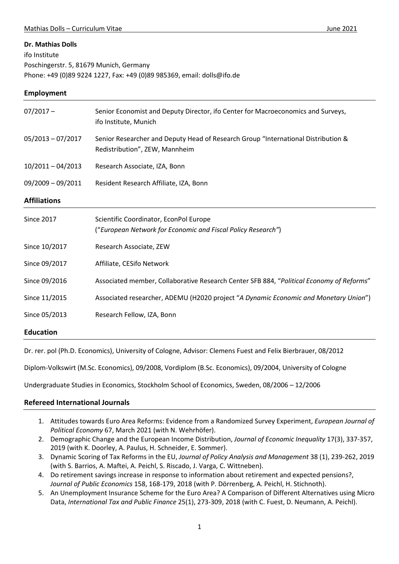#### **Dr. Mathias Dolls**

ifo Institute

Poschingerstr. 5, 81679 Munich, Germany Phone: +49 (0)89 9224 1227, Fax: +49 (0)89 985369, email: dolls@ifo.de

#### **Employment**

| $07/2017 -$         | Senior Economist and Deputy Director, ifo Center for Macroeconomics and Surveys,<br>ifo Institute, Munich           |
|---------------------|---------------------------------------------------------------------------------------------------------------------|
| $05/2013 - 07/2017$ | Senior Researcher and Deputy Head of Research Group "International Distribution &<br>Redistribution", ZEW, Mannheim |
| $10/2011 - 04/2013$ | Research Associate, IZA, Bonn                                                                                       |
| $09/2009 - 09/2011$ | Resident Research Affiliate, IZA, Bonn                                                                              |
| <b>Affiliations</b> |                                                                                                                     |
| <b>Since 2017</b>   | Scientific Coordinator, EconPol Europe<br>("European Network for Economic and Fiscal Policy Research")              |
| Since 10/2017       | Research Associate, ZEW                                                                                             |
| Since 09/2017       | Affiliate, CESifo Network                                                                                           |
| Since 09/2016       | Associated member, Collaborative Research Center SFB 884, "Political Economy of Reforms"                            |
| Since 11/2015       | Associated researcher, ADEMU (H2020 project "A Dynamic Economic and Monetary Union")                                |
| Since 05/2013       | Research Fellow, IZA, Bonn                                                                                          |
| <b>Education</b>    |                                                                                                                     |

Dr. rer. pol (Ph.D. Economics), University of Cologne, Advisor: Clemens Fuest and Felix Bierbrauer, 08/2012

Diplom-Volkswirt (M.Sc. Economics), 09/2008, Vordiplom (B.Sc. Economics), 09/2004, University of Cologne

Undergraduate Studies in Economics, Stockholm School of Economics, Sweden, 08/2006 – 12/2006

### **Refereed International Journals**

- 1. Attitudes towards Euro Area Reforms: Evidence from a Randomized Survey Experiment, *European Journal of Political Economy* 67, March 2021 (with N. Wehrhöfer).
- 2. Demographic Change and the European Income Distribution, *Journal of Economic Inequality* 17(3), 337-357, 2019 (with K. Doorley, A. Paulus, H. Schneider, E. Sommer).
- 3. Dynamic Scoring of Tax Reforms in the EU, *Journal of Policy Analysis and Management* 38 (1), 239-262, 2019 (with S. Barrios, A. Maftei, A. Peichl, S. Riscado, J. Varga, C. Wittneben).
- 4. Do retirement savings increase in response to information about retirement and expected pensions?, *Journal of Public Economics* 158, 168-179, 2018 (with P. Dörrenberg, A. Peichl, H. Stichnoth).
- 5. An Unemployment Insurance Scheme for the Euro Area? A Comparison of Different Alternatives using Micro Data, *International Tax and Public Finance* 25(1), 273-309, 2018 (with C. Fuest, D. Neumann, A. Peichl).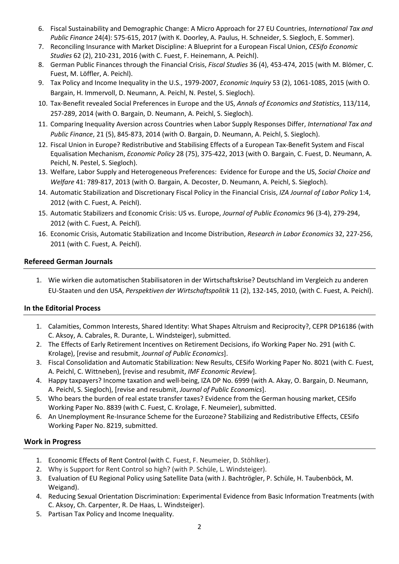- 6. Fiscal Sustainability and Demographic Change: A Micro Approach for 27 EU Countries, *International Tax and Public Finance* 24(4): 575-615, 2017 (with K. Doorley, A. Paulus, H. Schneider, S. Siegloch, E. Sommer).
- 7. Reconciling Insurance with Market Discipline: A Blueprint for a European Fiscal Union, *CESifo Economic Studies* 62 (2), 210-231, 2016 (with C. Fuest, F. Heinemann, A. Peichl).
- 8. German Public Finances through the Financial Crisis, *Fiscal Studies* 36 (4), 453-474, 2015 (with M. Blömer, C. Fuest, M. Löffler, A. Peichl).
- 9. Tax Policy and Income Inequality in the U.S., 1979-2007, *Economic Inquiry* 53 (2), 1061-1085, 2015 (with O. Bargain, H. Immervoll, D. Neumann, A. Peichl, N. Pestel, S. Siegloch).
- 10. Tax-Benefit revealed Social Preferences in Europe and the US, *Annals of Economics and Statistics*, 113/114, 257-289, 2014 (with O. Bargain, D. Neumann, A. Peichl, S. Siegloch).
- 11. Comparing Inequality Aversion across Countries when Labor Supply Responses Differ, *International Tax and Public Finance*, 21 (5), 845-873, 2014 (with O. Bargain, D. Neumann, A. Peichl, S. Siegloch).
- 12. Fiscal Union in Europe? Redistributive and Stabilising Effects of a European Tax-Benefit System and Fiscal Equalisation Mechanism, *Economic Policy* 28 (75), 375-422, 2013 (with O. Bargain, C. Fuest, D. Neumann, A. Peichl, N. Pestel, S. Siegloch).
- 13. Welfare, Labor Supply and Heterogeneous Preferences: Evidence for Europe and the US, *Social Choice and Welfare* 41: 789-817, 2013 (with O. Bargain, A. Decoster, D. Neumann, A. Peichl, S. Siegloch).
- 14. Automatic Stabilization and Discretionary Fiscal Policy in the Financial Crisis, *IZA Journal of Labor Policy* 1:4, 2012 (with C. Fuest, A. Peichl).
- 15. Automatic Stabilizers and Economic Crisis: US vs. Europe, *Journal of Public Economics* 96 (3-4), 279-294, 2012 (with C. Fuest, A. Peichl)*.*
- 16. Economic Crisis, Automatic Stabilization and Income Distribution, *Research in Labor Economics* 32, 227-256, 2011 (with C. Fuest, A. Peichl).

## **Refereed German Journals**

1. Wie wirken die automatischen Stabilisatoren in der Wirtschaftskrise? Deutschland im Vergleich zu anderen EU-Staaten und den USA, *Perspektiven der Wirtschaftspolitik* 11 (2), 132-145, 2010, (with C. Fuest, A. Peichl).

### **In the Editorial Process**

- 1. Calamities, Common Interests, Shared Identity: What Shapes Altruism and Reciprocity?, CEPR DP16186 (with C. Aksoy, A. Cabrales, R. Durante, L. Windsteiger), submitted.
- 2. The Effects of Early Retirement Incentives on Retirement Decisions, ifo Working Paper No. 291 (with C. Krolage), [revise and resubmit, *Journal of Public Economics*].
- 3. Fiscal Consolidation and Automatic Stabilization: New Results, CESifo Working Paper No. 8021 (with C. Fuest, A. Peichl, C. Wittneben), [revise and resubmit, *IMF Economic Review*].
- 4. Happy taxpayers? Income taxation and well-being, IZA DP No. 6999 (with A. Akay, O. Bargain, D. Neumann, A. Peichl, S. Siegloch), [revise and resubmit, *Journal of Public Economics*].
- 5. Who bears the burden of real estate transfer taxes? Evidence from the German housing market, CESifo Working Paper No. 8839 (with C. Fuest, C. Krolage, F. Neumeier), submitted.
- 6. An Unemployment Re-Insurance Scheme for the Eurozone? Stabilizing and Redistributive Effects, CESifo Working Paper No. 8219, submitted.

# **Work in Progress**

- 1. Economic Effects of Rent Control (with C. Fuest, F. Neumeier, D. Stöhlker).
- 2. Why is Support for Rent Control so high? (with P. Schüle, L. Windsteiger).
- 3. Evaluation of EU Regional Policy using Satellite Data (with J. Bachtrögler, P. Schüle, H. Taubenböck, M. Weigand).
- 4. Reducing Sexual Orientation Discrimination: Experimental Evidence from Basic Information Treatments (with C. Aksoy, Ch. Carpenter, R. De Haas, L. Windsteiger).
- 5. Partisan Tax Policy and Income Inequality.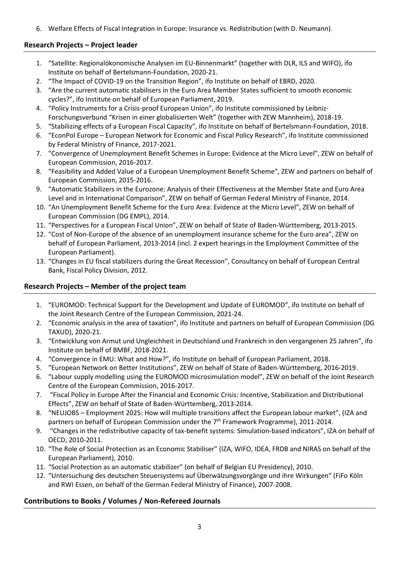6. Welfare Effects of Fiscal Integration in Europe: Insurance vs. Redistribution (with D. Neumann).

## **Research Projects – Project leader**

- 1. "Satellite: Regionalökonomische Analysen im EU-Binnenmarkt" (together with DLR, ILS and WIFO), ifo Institute on behalf of Bertelsmann-Foundation, 2020-21.
- 2. "The Impact of COVID-19 on the Transition Region", ifo Institute on behalf of EBRD, 2020.
- 3. "Are the current automatic stabilisers in the Euro Area Member States sufficient to smooth economic cycles?", ifo Institute on behalf of European Parliament, 2019.
- 4. "Policy Instruments for a Crisis-proof European Union", ifo Institute commissioned by Leibniz-Forschungsverbund "Krisen in einer globalisierten Welt" (together with ZEW Mannheim), 2018-19.
- 5. "Stabilizing effects of a European Fiscal Capacity", ifo Institute on behalf of Bertelsmann-Foundation, 2018.
- 6. "EconPol Europe European Network for Economic and Fiscal Policy Research", ifo Institute commissioned by Federal Ministry of Finance, 2017-2021.
- 7. "Convergence of Unemployment Benefit Schemes in Europe: Evidence at the Micro Level", ZEW on behalf of European Commission, 2016-2017.
- 8. "Feasibility and Added Value of a European Unemployment Benefit Scheme", ZEW and partners on behalf of European Commission, 2015-2016.
- 9. "Automatic Stabilizers in the Eurozone: Analysis of their Effectiveness at the Member State and Euro Area Level and in International Comparison", ZEW on behalf of German Federal Ministry of Finance, 2014.
- 10. "An Unemployment Benefit Scheme for the Euro Area: Evidence at the Micro Level", ZEW on behalf of European Commission (DG EMPL), 2014.
- 11. "Perspectives for a European Fiscal Union", ZEW on behalf of State of Baden-Württemberg, 2013-2015.
- 12. "Cost of Non-Europe of the absence of an unemployment insurance scheme for the Euro area", ZEW on behalf of European Parliament, 2013-2014 (incl. 2 expert hearings in the Employment Committee of the European Parliament).
- 13. "Changes in EU fiscal stabilizers during the Great Recession", Consultancy on behalf of European Central Bank, Fiscal Policy Division, 2012.

## **Research Projects – Member of the project team**

- 1. "EUROMOD: Technical Support for the Development and Update of EUROMOD", ifo Institute on behalf of the Joint Research Centre of the European Commission, 2021-24.
- 2. "Economic analysis in the area of taxation", ifo Institute and partners on behalf of European Commission (DG TAXUD), 2020-21.
- 3. "Entwicklung von Armut und Ungleichheit in Deutschland und Frankreich in den vergangenen 25 Jahren", ifo Institute on behalf of BMBF, 2018-2021.
- 4. "Convergence in EMU: What and How?", ifo Institute on behalf of European Parliament, 2018.
- 5. "European Network on Better Institutions", ZEW on behalf of State of Baden-Württemberg, 2016-2019.
- 6. "Labour supply modelling using the EUROMOD microsimulation model", ZEW on behalf of the Joint Research Centre of the European Commission, 2016-2017.
- 7. "Fiscal Policy in Europe After the Financial and Economic Crisis: Incentive, Stabilization and Distributional Effects", ZEW on behalf of State of Baden-Württemberg, 2013-2014.
- 8. "NEUJOBS Employment 2025: How will multiple transitions affect the European labour market", (IZA and partners on behalf of European Commission under the  $7<sup>th</sup>$  Framework Programme), 2011-2014.
- 9. "Changes in the redistributive capacity of tax-benefit systems: Simulation-based indicators", IZA on behalf of OECD, 2010-2011.
- 10. "The Role of Social Protection as an Economic Stabiliser" (IZA, WIFO, IDEA, FRDB and NIRAS on behalf of the European Parliament), 2010.
- 11. "Social Protection as an automatic stabilizer" (on behalf of Belgian EU Presidency), 2010.
- 12. "Untersuchung des deutschen Steuersystems auf Überwälzungsvorgänge und ihre Wirkungen" (FiFo Köln and RWI Essen, on behalf of the German Federal Ministry of Finance), 2007-2008.

# **Contributions to Books / Volumes / Non-Refereed Journals**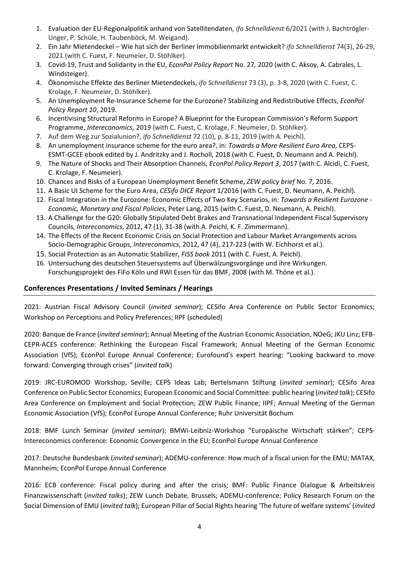- 1. Evaluation der EU-Regionalpolitik anhand von Satellitendaten, *ifo Schnelldienst* 6/2021 (with J. Bachtrögler-Unger, P. Schüle, H. Taubenböck, M. Weigand).
- 2. Ein Jahr Mietendeckel Wie hat sich der Berliner Immobilienmarkt entwickelt? *ifo Schnelldienst* 74(3), 26-29, 2021 (with C. Fuest, F. Neumeier, D. Stöhlker).
- 3. Covid-19, Trust and Solidarity in the EU, *EconPol Policy Report* No. 27*,* 2020 (with C. Aksoy, A. Cabrales, L. Windsteiger).
- 4. Ökonomische Effekte des Berliner Mietendeckels, *ifo Schnelldienst* 73 (3), p. 3-8, 2020 (with C. Fuest, C. Krolage, F. Neumeier, D. Stöhlker).
- 5. An Unemployment Re-Insurance Scheme for the Eurozone? Stabilizing and Redistributive Effects, *EconPol Policy Report 10*, 2019.
- 6. Incentivising Structural Reforms in Europe? A Blueprint for the European Commission's Reform Support Programme, *Intereconomics,* 2019 (with C. Fuest, C. Krolage, F. Neumeier, D. Stöhlker).
- 7. Auf dem Weg zur Sozialunion?, *ifo Schnelldienst* 72 (10), p. 8-11, 2019 (with A. Peichl).
- 8. An unemployment insurance scheme for the euro area?, in: *Towards a More Resilient Euro Area*, CEPS-ESMT-GCEE ebook edited by J. Andritzky and J. Rocholl, 2018 (with C. Fuest, D. Neumann and A. Peichl).
- 9. The Nature of Shocks and Their Absorption Channels, *EconPol Policy Report 3*, 2017 (with C. Alcidi, C. Fuest, C. Krolage, F. Neumeier).
- 10. Chances and Risks of a European Unemployment Benefit Scheme, *ZEW policy brief* No. 7, 2016.
- 11. A Basic UI Scheme for the Euro Area, *CESifo DICE Report* 1/2016 (with C. Fuest, D. Neumann, A. Peichl).
- 12. Fiscal Integration in the Eurozone: Economic Effects of Two Key Scenarios, in: *Towards a Resilient Eurozone - Economic, Monetary and Fiscal Policies*, Peter Lang, 2015 (with C. Fuest, D. Neumann, A. Peichl).
- 13. A Challenge for the G20: Globally Stipulated Debt Brakes and Transnational Independent Fiscal Supervisory Councils, *Intereconomics*, 2012, 47 (1), 31-38 (with A. Peichl, K. F. Zimmermann).
- 14. The Effects of the Recent Economic Crisis on Social Protection and Labour Market Arrangements across Socio-Demographic Groups, *Intereconomics*, 2012, 47 (4), 217-223 (with W. Eichhorst et al.).
- 15. Social Protection as an Automatic Stabilizer, *FISS book* 2011 (with C. Fuest, A. Peichl).
- 16. Untersuchung des deutschen Steuersystems auf Überwälzungsvorgänge und ihre Wirkungen. Forschungsprojekt des FiFo Köln und RWI Essen für das BMF, 2008 (with M. Thöne et al.).

# **Conferences Presentations / Invited Seminars / Hearings**

2021: Austrian Fiscal Advisory Council (*invited seminar*); CESifo Area Conference on Public Sector Economics; Workshop on Perceptions and Policy Preferences; IIPF (scheduled)

2020: Banque de France (*invited seminar*); Annual Meeting of the Austrian Economic Association, NOeG; JKU Linz; EFB-CEPR-ACES conference: Rethinking the European Fiscal Framework; Annual Meeting of the German Economic Association (VfS); EconPol Europe Annual Conference; Eurofound's expert hearing: "Looking backward to move forward: Converging through crises" (*invited talk*)

2019: JRC-EUROMOD Workshop, Seville; CEPS Ideas Lab; Bertelsmann Stiftung (*invited seminar*); CESifo Area Conference on Public Sector Economics; European Economic and Social Committee: public hearing (*invited talk*); CESifo Area Conference on Employment and Social Protection; ZEW Public Finance; IIPF; Annual Meeting of the German Economic Association (VfS); EconPol Europe Annual Conference; Ruhr Universität Bochum

2018: BMF Lunch Seminar (*invited seminar*); BMWi-Leibniz-Workshop "Europäische Wirtschaft stärken"; CEPS-Intereconomics conference: Economic Convergence in the EU; EconPol Europe Annual Conference

2017: Deutsche Bundesbank (*invited seminar*); ADEMU-conference: How much of a fiscal union for the EMU; MATAX, Mannheim; EconPol Europe Annual Conference

2016: ECB conference: Fiscal policy during and after the crisis; BMF: Public Finance Dialogue & Arbeitskreis Finanzwissenschaft (*invited talks*); ZEW Lunch Debate, Brussels; ADEMU-conference; Policy Research Forum on the Social Dimension of EMU (*invited talk*); European Pillar of Social Rights hearing 'The future of welfare systems' (*invited*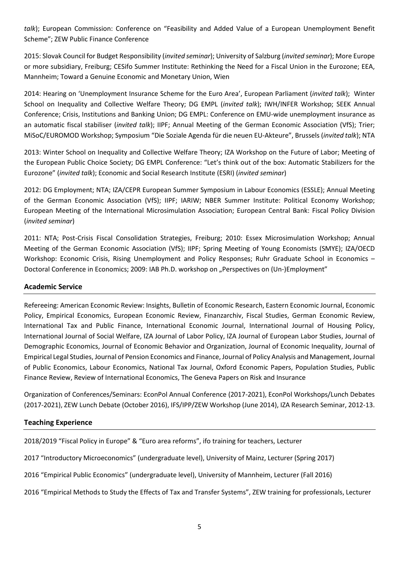*talk*); European Commission: Conference on "Feasibility and Added Value of a European Unemployment Benefit Scheme"; ZEW Public Finance Conference

2015: Slovak Council for Budget Responsibility (*invited seminar*); University of Salzburg (*invited seminar*); More Europe or more subsidiary, Freiburg; CESifo Summer Institute: Rethinking the Need for a Fiscal Union in the Eurozone; EEA, Mannheim; Toward a Genuine Economic and Monetary Union, Wien

2014: Hearing on 'Unemployment Insurance Scheme for the Euro Area', European Parliament (*invited talk*); Winter School on Inequality and Collective Welfare Theory; DG EMPL (*invited talk*); IWH/INFER Workshop; SEEK Annual Conference; Crisis, Institutions and Banking Union; DG EMPL: Conference on EMU-wide unemployment insurance as an automatic fiscal stabiliser (*invited talk*); IIPF; Annual Meeting of the German Economic Association (VfS); Trier; MiSoC/EUROMOD Workshop; Symposium "Die Soziale Agenda für die neuen EU-Akteure", Brussels (*invited talk*); NTA

2013: Winter School on Inequality and Collective Welfare Theory; IZA Workshop on the Future of Labor; Meeting of the European Public Choice Society; DG EMPL Conference: "Let's think out of the box: Automatic Stabilizers for the Eurozone" (*invited talk*); Economic and Social Research Institute (ESRI) (*invited seminar*)

2012: DG Employment; NTA; IZA/CEPR European Summer Symposium in Labour Economics (ESSLE); Annual Meeting of the German Economic Association (VfS); IIPF; IARIW; NBER Summer Institute: Political Economy Workshop; European Meeting of the International Microsimulation Association; European Central Bank: Fiscal Policy Division (*invited seminar*)

2011: NTA; Post-Crisis Fiscal Consolidation Strategies, Freiburg; 2010: Essex Microsimulation Workshop; Annual Meeting of the German Economic Association (VfS); IIPF; Spring Meeting of Young Economists (SMYE); IZA/OECD Workshop: Economic Crisis, Rising Unemployment and Policy Responses; Ruhr Graduate School in Economics – Doctoral Conference in Economics; 2009: IAB Ph.D. workshop on "Perspectives on (Un-)Employment"

### **Academic Service**

Refereeing: American Economic Review: Insights, Bulletin of Economic Research, Eastern Economic Journal, Economic Policy, Empirical Economics, European Economic Review, Finanzarchiv, Fiscal Studies, German Economic Review, International Tax and Public Finance, International Economic Journal, International Journal of Housing Policy, International Journal of Social Welfare, IZA Journal of Labor Policy, IZA Journal of European Labor Studies, Journal of Demographic Economics, Journal of Economic Behavior and Organization, Journal of Economic Inequality, Journal of Empirical Legal Studies, Journal of Pension Economics and Finance, Journal of Policy Analysis and Management, Journal of Public Economics, Labour Economics, National Tax Journal, Oxford Economic Papers, Population Studies, Public Finance Review, Review of International Economics, The Geneva Papers on Risk and Insurance

Organization of Conferences/Seminars: EconPol Annual Conference (2017-2021), EconPol Workshops/Lunch Debates (2017-2021), ZEW Lunch Debate (October 2016), IFS/IPP/ZEW Workshop (June 2014), IZA Research Seminar, 2012-13.

### **Teaching Experience**

2018/2019 "Fiscal Policy in Europe" & "Euro area reforms", ifo training for teachers, Lecturer

2017 "Introductory Microeconomics" (undergraduate level), University of Mainz, Lecturer (Spring 2017)

2016 "Empirical Public Economics" (undergraduate level), University of Mannheim, Lecturer (Fall 2016)

2016 "Empirical Methods to Study the Effects of Tax and Transfer Systems", ZEW training for professionals, Lecturer